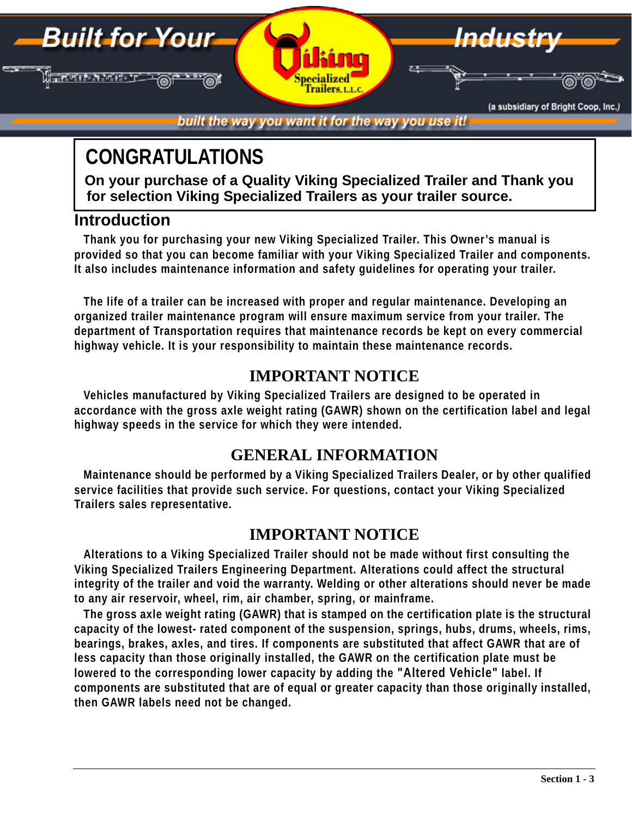built the way you want it for the way you use it!

Indus

(a subsidiary of Bright Coop, Inc.)

# **CONGRATULATIONS**

**On your purchase of a Quality Viking Specialized Trailer and Thank you for selection Viking Specialized Trailers as your trailer source.**

# **Introduction**

**Built for Your** 

Jarosto N

**Thank you for purchasing your new Viking Specialized Trailer. This Owner's manual is provided so that you can become familiar with your Viking Specialized Trailer and components. It also includes maintenance information and safety guidelines for operating your trailer.**

**The life of a trailer can be increased with proper and regular maintenance. Developing an organized trailer maintenance program will ensure maximum service from your trailer. The department of Transportation requires that maintenance records be kept on every commercial highway vehicle. It is your responsibility to maintain these maintenance records.**

# **IMPORTANT NOTICE**

**Vehicles manufactured by Viking Specialized Trailers are designed to be operated in accordance with the gross axle weight rating (GAWR) shown on the certification label and legal highway speeds in the service for which they were intended.**

# **GENERAL INFORMATION**

**Maintenance should be performed by a Viking Specialized Trailers Dealer, or by other qualified service facilities that provide such service. For questions, contact your Viking Specialized Trailers sales representative.**

# **IMPORTANT NOTICE**

**Alterations to a Viking Specialized Trailer should not be made without first consulting the Viking Specialized Trailers Engineering Department. Alterations could affect the structural integrity of the trailer and void the warranty. Welding or other alterations should never be made to any air reservoir, wheel, rim, air chamber, spring, or mainframe.**

**The gross axle weight rating (GAWR) that is stamped on the certification plate is the structural capacity of the lowest- rated component of the suspension, springs, hubs, drums, wheels, rims, bearings, brakes, axles, and tires. If components are substituted that affect GAWR that are of less capacity than those originally installed, the GAWR on the certification plate must be lowered to the corresponding lower capacity by adding the "Altered Vehicle" label. If components are substituted that are of equal or greater capacity than those originally installed, then GAWR labels need not be changed.**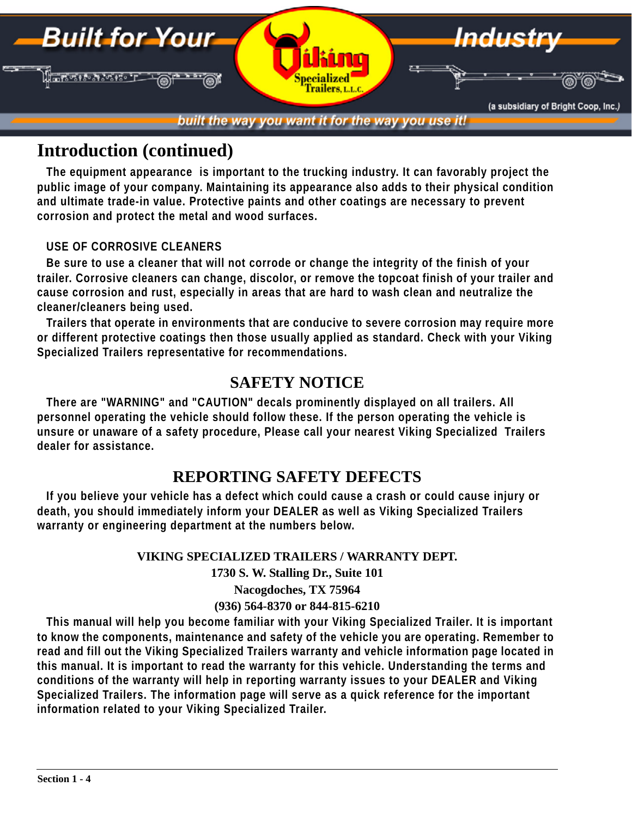

# **Introduction (continued)**

**The equipment appearance is important to the trucking industry. It can favorably project the public image of your company. Maintaining its appearance also adds to their physical condition and ultimate trade-in value. Protective paints and other coatings are necessary to prevent corrosion and protect the metal and wood surfaces.** 

#### **USE OF CORROSIVE CLEANERS**

**Be sure to use a cleaner that will not corrode or change the integrity of the finish of your trailer. Corrosive cleaners can change, discolor, or remove the topcoat finish of your trailer and cause corrosion and rust, especially in areas that are hard to wash clean and neutralize the cleaner/cleaners being used.**

**Trailers that operate in environments that are conducive to severe corrosion may require more or different protective coatings then those usually applied as standard. Check with your Viking Specialized Trailers representative for recommendations.**

### **SAFETY NOTICE**

**There are "WARNING" and "CAUTION" decals prominently displayed on all trailers. All personnel operating the vehicle should follow these. If the person operating the vehicle is unsure or unaware of a safety procedure, Please call your nearest Viking Specialized Trailers dealer for assistance.**

### **REPORTING SAFETY DEFECTS**

**If you believe your vehicle has a defect which could cause a crash or could cause injury or death, you should immediately inform your DEALER as well as Viking Specialized Trailers warranty or engineering department at the numbers below.**

#### **VIKING SPECIALIZED TRAILERS / WARRANTY DEPT.**

**1730 S. W. Stalling Dr., Suite 101**

**Nacogdoches, TX 75964**

#### **(936) 564-8370 or 844-815-6210**

**This manual will help you become familiar with your Viking Specialized Trailer. It is important to know the components, maintenance and safety of the vehicle you are operating. Remember to read and fill out the Viking Specialized Trailers warranty and vehicle information page located in this manual. It is important to read the warranty for this vehicle. Understanding the terms and conditions of the warranty will help in reporting warranty issues to your DEALER and Viking Specialized Trailers. The information page will serve as a quick reference for the important information related to your Viking Specialized Trailer.**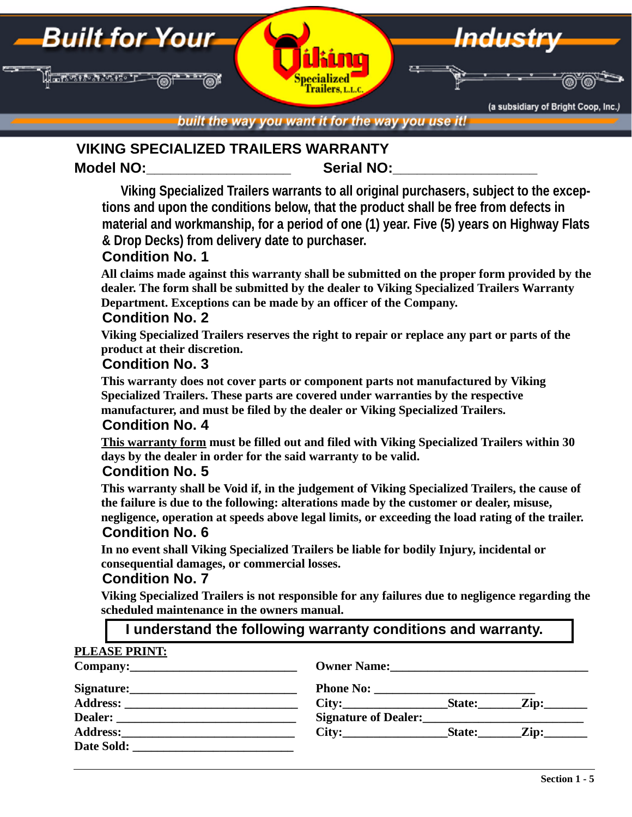

built the way you want it for the way you use it!

#### Model NO: **Note and Serial NO: VIKING SPECIALIZED TRAILERS WARRANTY**

**Viking Specialized Trailers warrants to all original purchasers, subject to the exceptions and upon the conditions below, that the product shall be free from defects in material and workmanship, for a period of one (1) year. Five (5) years on Highway Flats & Drop Decks) from delivery date to purchaser.**

#### **Condition No. 1**

**All claims made against this warranty shall be submitted on the proper form provided by the dealer. The form shall be submitted by the dealer to Viking Specialized Trailers Warranty Department. Exceptions can be made by an officer of the Company.**

#### **Condition No. 2**

**Viking Specialized Trailers reserves the right to repair or replace any part or parts of the product at their discretion.**

#### **Condition No. 3**

**This warranty does not cover parts or component parts not manufactured by Viking Specialized Trailers. These parts are covered under warranties by the respective manufacturer, and must be filed by the dealer or Viking Specialized Trailers.**

#### **Condition No. 4**

**This warranty form must be filled out and filed with Viking Specialized Trailers within 30 days by the dealer in order for the said warranty to be valid.**

#### **Condition No. 5**

**This warranty shall be Void if, in the judgement of Viking Specialized Trailers, the cause of the failure is due to the following: alterations made by the customer or dealer, misuse, negligence, operation at speeds above legal limits, or exceeding the load rating of the trailer.**

#### **Condition No. 6**

**In no event shall Viking Specialized Trailers be liable for bodily Injury, incidental or consequential damages, or commercial losses.**

#### **Condition No. 7**

**Viking Specialized Trailers is not responsible for any failures due to negligence regarding the scheduled maintenance in the owners manual.**

#### **PLEASE PRINT:**

**Company:\_\_\_\_\_\_\_\_\_\_\_\_\_\_\_\_\_\_\_\_\_\_\_\_\_\_\_ Owner Name:\_\_\_\_\_\_\_\_\_\_\_\_\_\_\_\_\_\_\_\_\_\_\_\_\_\_\_\_\_\_\_\_ Signature:\_\_\_\_\_\_\_\_\_\_\_\_\_\_\_\_\_\_\_\_\_\_\_\_\_\_\_ Phone No: \_\_\_\_\_\_\_\_\_\_\_\_\_\_\_\_\_\_\_\_\_\_\_\_\_\_ Address: \_\_\_\_\_\_\_\_\_\_\_\_\_\_\_\_\_\_\_\_\_\_\_\_\_\_\_\_ City:\_\_\_\_\_\_\_\_\_\_\_\_\_\_\_\_\_State:\_\_\_\_\_\_\_Zip:\_\_\_\_\_\_\_ Dealer: \_\_\_\_\_\_\_\_\_\_\_\_\_\_\_\_\_\_\_\_\_\_\_\_\_\_\_\_\_ Signature of Dealer:\_\_\_\_\_\_\_\_\_\_\_\_\_\_\_\_\_\_\_\_\_\_\_\_\_\_** Address: City: City: State: Zip: Date Sold: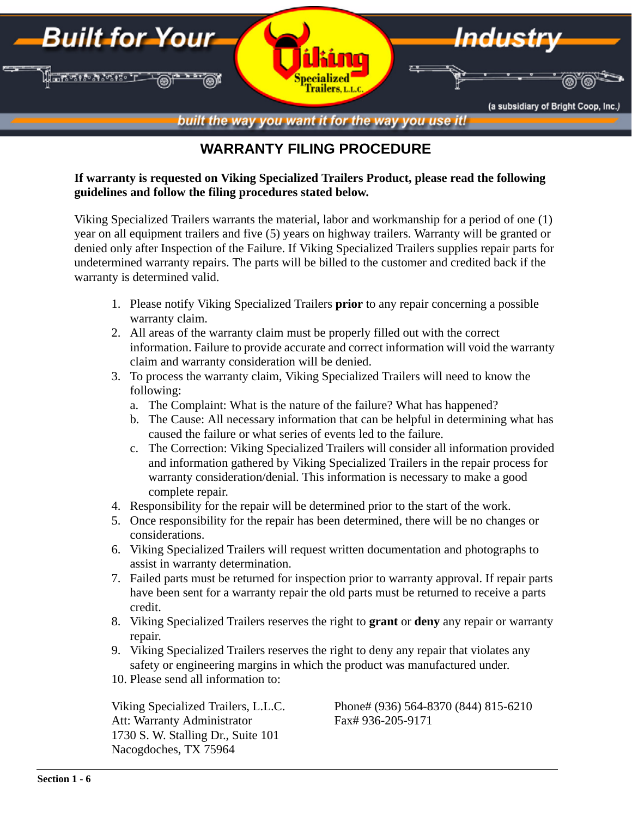

### **WARRANTY FILING PROCEDURE**

#### **If warranty is requested on Viking Specialized Trailers Product, please read the following guidelines and follow the filing procedures stated below.**

Viking Specialized Trailers warrants the material, labor and workmanship for a period of one (1) year on all equipment trailers and five (5) years on highway trailers. Warranty will be granted or denied only after Inspection of the Failure. If Viking Specialized Trailers supplies repair parts for undetermined warranty repairs. The parts will be billed to the customer and credited back if the warranty is determined valid.

- 1. Please notify Viking Specialized Trailers **prior** to any repair concerning a possible warranty claim.
- 2. All areas of the warranty claim must be properly filled out with the correct information. Failure to provide accurate and correct information will void the warranty claim and warranty consideration will be denied.
- 3. To process the warranty claim, Viking Specialized Trailers will need to know the following:
	- a. The Complaint: What is the nature of the failure? What has happened?
	- b. The Cause: All necessary information that can be helpful in determining what has caused the failure or what series of events led to the failure.
	- c. The Correction: Viking Specialized Trailers will consider all information provided and information gathered by Viking Specialized Trailers in the repair process for warranty consideration/denial. This information is necessary to make a good complete repair.
- 4. Responsibility for the repair will be determined prior to the start of the work.
- 5. Once responsibility for the repair has been determined, there will be no changes or considerations.
- 6. Viking Specialized Trailers will request written documentation and photographs to assist in warranty determination.
- 7. Failed parts must be returned for inspection prior to warranty approval. If repair parts have been sent for a warranty repair the old parts must be returned to receive a parts credit.
- 8. Viking Specialized Trailers reserves the right to **grant** or **deny** any repair or warranty repair.
- 9. Viking Specialized Trailers reserves the right to deny any repair that violates any safety or engineering margins in which the product was manufactured under.
- 10. Please send all information to:

Att: Warranty Administrator Fax# 936-205-9171 1730 S. W. Stalling Dr., Suite 101 Nacogdoches, TX 75964

Viking Specialized Trailers, L.L.C. Phone# (936) 564-8370 (844) 815-6210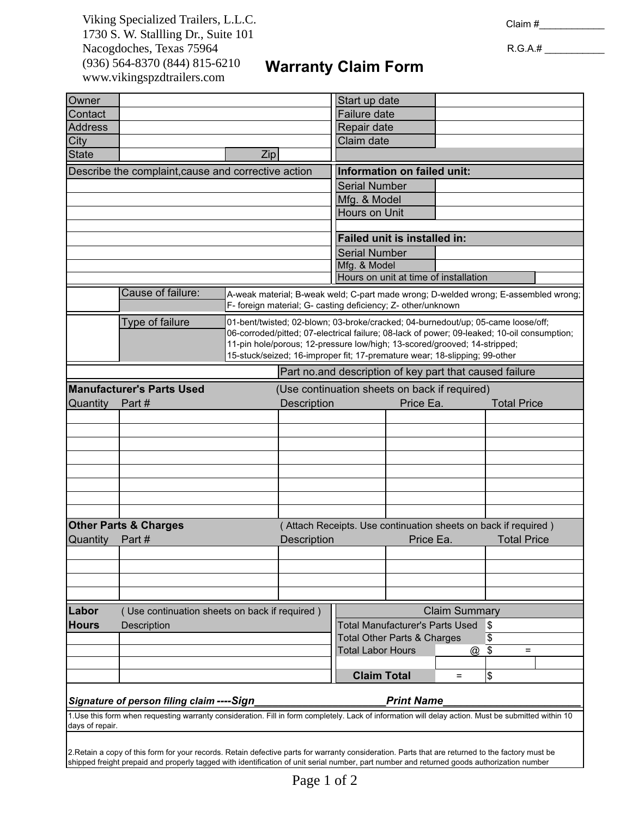*Bright Coop,Inc. 803 West Seale St.* 1730 S. W. Stallling Dr., Suite 101 *Nacogdoches,Tx.75965* Nacogdoches, Texas 75964 *Tel:936-564-8378* (936) 564-8370 (844) 815-6210 Viking Specialized Trailers, L.L.C. www.vikingspzdtrailers.com

R.G.A.# \_\_\_\_\_\_\_\_\_\_\_

 $\mathsf{l}$ 

# **Warranty Claim Form**

| Owner                                                                                                                                                |                                                                                                                                                                          | Start up date                                                                                                                                           |                                                                |                                                         |           |                      |                    |  |  |  |
|------------------------------------------------------------------------------------------------------------------------------------------------------|--------------------------------------------------------------------------------------------------------------------------------------------------------------------------|---------------------------------------------------------------------------------------------------------------------------------------------------------|----------------------------------------------------------------|---------------------------------------------------------|-----------|----------------------|--------------------|--|--|--|
| Contact                                                                                                                                              |                                                                                                                                                                          |                                                                                                                                                         |                                                                | Failure date                                            |           |                      |                    |  |  |  |
| <b>Address</b>                                                                                                                                       |                                                                                                                                                                          |                                                                                                                                                         |                                                                | Repair date                                             |           |                      |                    |  |  |  |
| City                                                                                                                                                 |                                                                                                                                                                          |                                                                                                                                                         |                                                                | Claim date                                              |           |                      |                    |  |  |  |
| <b>State</b>                                                                                                                                         |                                                                                                                                                                          | Zip                                                                                                                                                     |                                                                |                                                         |           |                      |                    |  |  |  |
|                                                                                                                                                      | Describe the complaint, cause and corrective action                                                                                                                      |                                                                                                                                                         | Information on failed unit:                                    |                                                         |           |                      |                    |  |  |  |
|                                                                                                                                                      |                                                                                                                                                                          |                                                                                                                                                         | <b>Serial Number</b>                                           |                                                         |           |                      |                    |  |  |  |
|                                                                                                                                                      |                                                                                                                                                                          |                                                                                                                                                         | Mfg. & Model                                                   |                                                         |           |                      |                    |  |  |  |
|                                                                                                                                                      |                                                                                                                                                                          |                                                                                                                                                         | Hours on Unit                                                  |                                                         |           |                      |                    |  |  |  |
|                                                                                                                                                      |                                                                                                                                                                          |                                                                                                                                                         |                                                                | <b>Failed unit is installed in:</b>                     |           |                      |                    |  |  |  |
|                                                                                                                                                      |                                                                                                                                                                          |                                                                                                                                                         |                                                                |                                                         |           |                      |                    |  |  |  |
|                                                                                                                                                      |                                                                                                                                                                          |                                                                                                                                                         |                                                                | <b>Serial Number</b>                                    |           |                      |                    |  |  |  |
|                                                                                                                                                      |                                                                                                                                                                          |                                                                                                                                                         | Mfg. & Model                                                   |                                                         |           |                      |                    |  |  |  |
|                                                                                                                                                      |                                                                                                                                                                          |                                                                                                                                                         | Hours on unit at time of installation                          |                                                         |           |                      |                    |  |  |  |
|                                                                                                                                                      | Cause of failure:<br>A-weak material; B-weak weld; C-part made wrong; D-welded wrong; E-assembled wrong;<br>F- foreign material; G- casting deficiency; Z- other/unknown |                                                                                                                                                         |                                                                |                                                         |           |                      |                    |  |  |  |
|                                                                                                                                                      | Type of failure<br>01-bent/twisted; 02-blown; 03-broke/cracked; 04-burnedout/up; 05-came loose/off;                                                                      |                                                                                                                                                         |                                                                |                                                         |           |                      |                    |  |  |  |
|                                                                                                                                                      | 06-corroded/pitted; 07-electrical failure; 08-lack of power; 09-leaked; 10-oil consumption;                                                                              |                                                                                                                                                         |                                                                |                                                         |           |                      |                    |  |  |  |
|                                                                                                                                                      |                                                                                                                                                                          | 11-pin hole/porous; 12-pressure low/high; 13-scored/grooved; 14-stripped;<br>15-stuck/seized; 16-improper fit; 17-premature wear; 18-slipping; 99-other |                                                                |                                                         |           |                      |                    |  |  |  |
|                                                                                                                                                      |                                                                                                                                                                          |                                                                                                                                                         |                                                                |                                                         |           |                      |                    |  |  |  |
|                                                                                                                                                      |                                                                                                                                                                          |                                                                                                                                                         |                                                                | Part no and description of key part that caused failure |           |                      |                    |  |  |  |
|                                                                                                                                                      | <b>Manufacturer's Parts Used</b>                                                                                                                                         |                                                                                                                                                         |                                                                | (Use continuation sheets on back if required)           |           |                      |                    |  |  |  |
| Quantity                                                                                                                                             | Part#                                                                                                                                                                    |                                                                                                                                                         | Description                                                    |                                                         | Price Ea. |                      | <b>Total Price</b> |  |  |  |
|                                                                                                                                                      |                                                                                                                                                                          |                                                                                                                                                         |                                                                |                                                         |           |                      |                    |  |  |  |
|                                                                                                                                                      |                                                                                                                                                                          |                                                                                                                                                         |                                                                |                                                         |           |                      |                    |  |  |  |
|                                                                                                                                                      |                                                                                                                                                                          |                                                                                                                                                         |                                                                |                                                         |           |                      |                    |  |  |  |
|                                                                                                                                                      |                                                                                                                                                                          |                                                                                                                                                         |                                                                |                                                         |           |                      |                    |  |  |  |
|                                                                                                                                                      |                                                                                                                                                                          |                                                                                                                                                         |                                                                |                                                         |           |                      |                    |  |  |  |
|                                                                                                                                                      |                                                                                                                                                                          |                                                                                                                                                         |                                                                |                                                         |           |                      |                    |  |  |  |
|                                                                                                                                                      |                                                                                                                                                                          |                                                                                                                                                         |                                                                |                                                         |           |                      |                    |  |  |  |
|                                                                                                                                                      |                                                                                                                                                                          |                                                                                                                                                         |                                                                |                                                         |           |                      |                    |  |  |  |
|                                                                                                                                                      | <b>Other Parts &amp; Charges</b>                                                                                                                                         |                                                                                                                                                         | (Attach Receipts. Use continuation sheets on back if required) |                                                         |           |                      |                    |  |  |  |
| <b>Quantity</b>                                                                                                                                      | Part#                                                                                                                                                                    |                                                                                                                                                         | Description                                                    |                                                         | Price Ea. |                      | <b>Total Price</b> |  |  |  |
|                                                                                                                                                      |                                                                                                                                                                          |                                                                                                                                                         |                                                                |                                                         |           |                      |                    |  |  |  |
|                                                                                                                                                      |                                                                                                                                                                          |                                                                                                                                                         |                                                                |                                                         |           |                      |                    |  |  |  |
|                                                                                                                                                      |                                                                                                                                                                          |                                                                                                                                                         |                                                                |                                                         |           |                      |                    |  |  |  |
|                                                                                                                                                      |                                                                                                                                                                          |                                                                                                                                                         |                                                                |                                                         |           |                      |                    |  |  |  |
| Labor                                                                                                                                                |                                                                                                                                                                          | (Use continuation sheets on back if required)                                                                                                           |                                                                |                                                         |           | <b>Claim Summary</b> |                    |  |  |  |
| <b>Hours</b>                                                                                                                                         | Description                                                                                                                                                              |                                                                                                                                                         |                                                                | <b>Total Manufacturer's Parts Used</b><br>\$            |           |                      |                    |  |  |  |
|                                                                                                                                                      |                                                                                                                                                                          |                                                                                                                                                         |                                                                | <b>Total Other Parts &amp; Charges</b>                  |           |                      | \$                 |  |  |  |
|                                                                                                                                                      |                                                                                                                                                                          |                                                                                                                                                         |                                                                | <b>Total Labor Hours</b>                                |           | $^{\textregistered}$ | \$<br>$=$          |  |  |  |
|                                                                                                                                                      |                                                                                                                                                                          |                                                                                                                                                         |                                                                |                                                         |           |                      |                    |  |  |  |
|                                                                                                                                                      |                                                                                                                                                                          |                                                                                                                                                         |                                                                | <b>Claim Total</b>                                      |           | $=$                  | \$                 |  |  |  |
| <b>Print Name</b><br>Signature of person filing claim ---- Sign                                                                                      |                                                                                                                                                                          |                                                                                                                                                         |                                                                |                                                         |           |                      |                    |  |  |  |
| 1. Use this form when requesting warranty consideration. Fill in form completely. Lack of information will delay action. Must be submitted within 10 |                                                                                                                                                                          |                                                                                                                                                         |                                                                |                                                         |           |                      |                    |  |  |  |
| days of repair.                                                                                                                                      |                                                                                                                                                                          |                                                                                                                                                         |                                                                |                                                         |           |                      |                    |  |  |  |
| 2. Retain a copy of this form for your records. Retain defective parts for warranty consideration. Parts that are returned to the factory must be    |                                                                                                                                                                          |                                                                                                                                                         |                                                                |                                                         |           |                      |                    |  |  |  |

shipped freight prepaid and properly tagged with identification of unit serial number, part number and returned goods authorization number